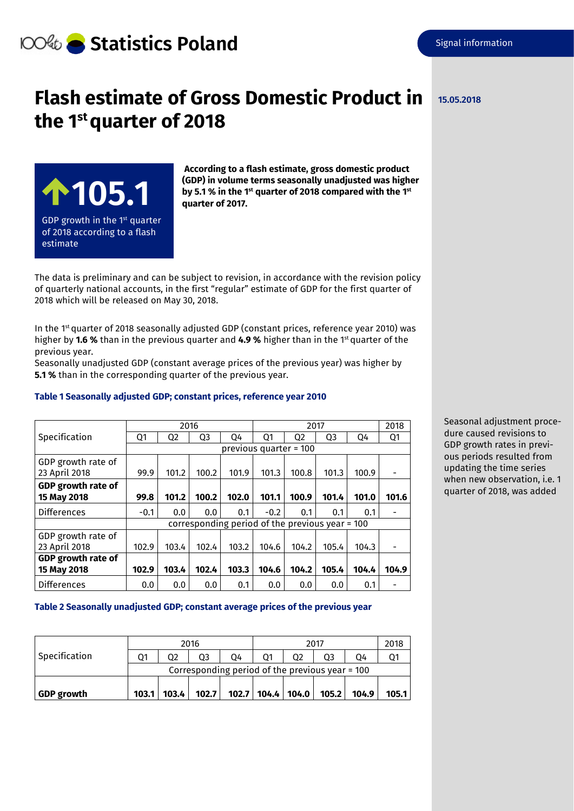# **Statistics Poland**

## **Flash estimate of Gross Domestic Product in**  the 1<sup>st</sup> quarter of 2018



**According to a flash estimate, gross domestic product (GDP) in volume terms seasonally unadjusted was higher by 5.1 % in the 1st quarter of 2018 compared with the 1st quarter of 2017.**

The data is preliminary and can be subject to revision, in accordance with the revision policy of quarterly national accounts, in the first "regular" estimate of GDP for the first quarter of 2018 which will be released on May 30, 2018.

In the 1<sup>st</sup> quarter of 2018 seasonally adjusted GDP (constant prices, reference year 2010) was higher by **1.6 %** than in the previous quarter and **4.9 %** higher than in the 1st quarter of the previous year.

Seasonally unadjusted GDP (constant average prices of the previous year) was higher by **5.1 %** than in the corresponding quarter of the previous year.

#### **Table 1 Seasonally adjusted GDP; constant prices, reference year 2010**

|                           | 2016                                            |                |                |       | 2017   |       |       |       | 2018  |  |
|---------------------------|-------------------------------------------------|----------------|----------------|-------|--------|-------|-------|-------|-------|--|
| Specification             | Q1                                              | Q <sub>2</sub> | Q <sub>3</sub> | Q4    | Q1     | Q2    | Q3    | Q4    | Q1    |  |
|                           | previous quarter = 100                          |                |                |       |        |       |       |       |       |  |
| GDP growth rate of        |                                                 |                |                |       |        |       |       |       |       |  |
| 23 April 2018             | 99.9                                            | 101.2          | 100.2          | 101.9 | 101.3  | 100.8 | 101.3 | 100.9 |       |  |
| GDP growth rate of        |                                                 |                |                |       |        |       |       |       |       |  |
| 15 May 2018               | 99.8                                            | 101.2          | 100.2          | 102.0 | 101.1  | 100.9 | 101.4 | 101.0 | 101.6 |  |
| Differences               | $-0.1$                                          | 0.0            | 0.0            | 0.1   | $-0.2$ | 0.1   | 0.1   | 0.1   |       |  |
|                           | corresponding period of the previous year = 100 |                |                |       |        |       |       |       |       |  |
| GDP growth rate of        |                                                 |                |                |       |        |       |       |       |       |  |
| 23 April 2018             | 102.9                                           | 103.4          | 102.4          | 103.2 | 104.6  | 104.2 | 105.4 | 104.3 |       |  |
| <b>GDP</b> growth rate of |                                                 |                |                |       |        |       |       |       |       |  |
| 15 May 2018               | 102.9                                           | 103.4          | 102.4          | 103.3 | 104.6  | 104.2 | 105.4 | 104.4 | 104.9 |  |
| <b>Differences</b>        | 0.0                                             | 0.0            | 0.0            | 0.1   | 0.0    | 0.0   | 0.0   | 0.1   |       |  |

Seasonal adjustment procedure caused revisions to GDP growth rates in previous periods resulted from updating the time series when new observation, i.e. 1 quarter of 2018, was added

### **Table 2 Seasonally unadjusted GDP; constant average prices of the previous year**

|                   | 2016                                            |       |       |    | 2017 |                       |       |       | 2018  |  |
|-------------------|-------------------------------------------------|-------|-------|----|------|-----------------------|-------|-------|-------|--|
| Specification     | Ο1                                              | 02    | Ο3    | 04 |      |                       |       | 04    |       |  |
|                   | Corresponding period of the previous year = 100 |       |       |    |      |                       |       |       |       |  |
|                   |                                                 |       |       |    |      |                       |       |       |       |  |
| <b>GDP</b> growth | 103.1                                           | 103.4 | 102.7 |    |      | 102.7   104.4   104.0 | 105.2 | 104.9 | 105.1 |  |

### **15.05.2018**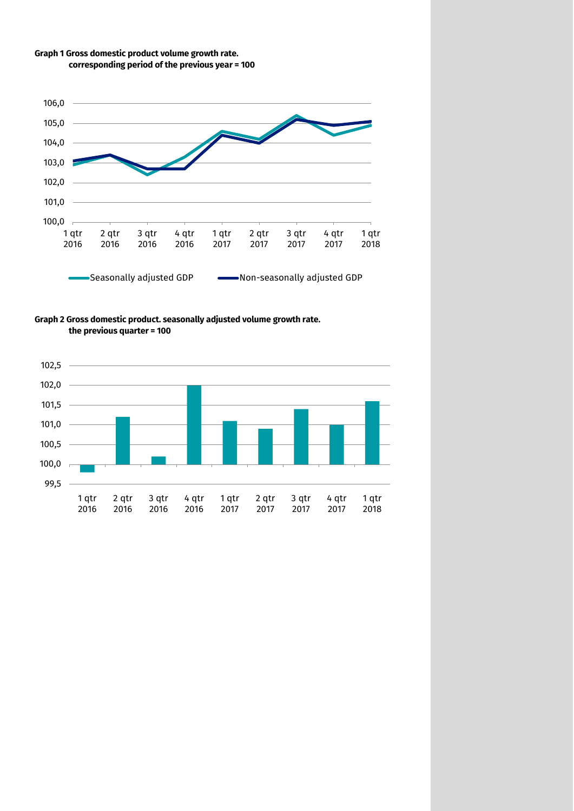



**Graph 2 Gross domestic product. seasonally adjusted volume growth rate. the previous quarter = 100**